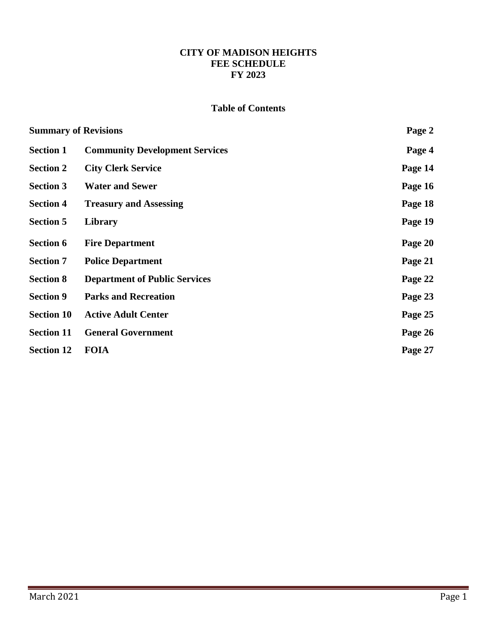# **CITY OF MADISON HEIGHTS FEE SCHEDULE FY 2023**

# **Table of Contents**

| <b>Summary of Revisions</b> |                                       | Page 2  |
|-----------------------------|---------------------------------------|---------|
| <b>Section 1</b>            | <b>Community Development Services</b> | Page 4  |
| <b>Section 2</b>            | <b>City Clerk Service</b>             | Page 14 |
| <b>Section 3</b>            | <b>Water and Sewer</b>                | Page 16 |
| <b>Section 4</b>            | <b>Treasury and Assessing</b>         | Page 18 |
| <b>Section 5</b>            | Library                               | Page 19 |
| <b>Section 6</b>            | <b>Fire Department</b>                | Page 20 |
| <b>Section 7</b>            | <b>Police Department</b>              | Page 21 |
| <b>Section 8</b>            | <b>Department of Public Services</b>  | Page 22 |
| <b>Section 9</b>            | <b>Parks and Recreation</b>           | Page 23 |
| <b>Section 10</b>           | <b>Active Adult Center</b>            | Page 25 |
| <b>Section 11</b>           | <b>General Government</b>             | Page 26 |
| <b>Section 12</b>           | <b>FOIA</b>                           | Page 27 |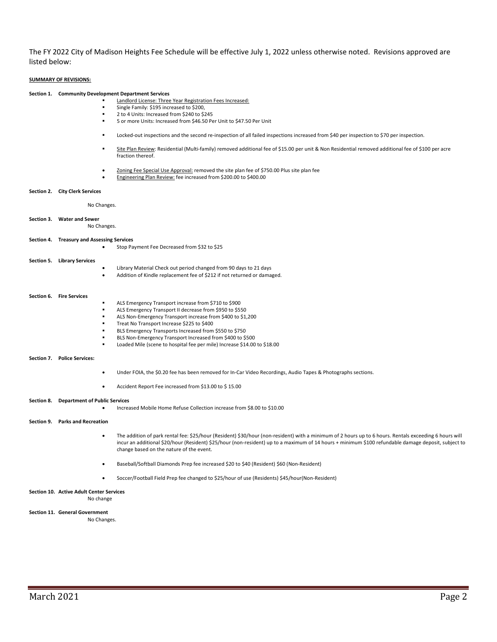The FY 2022 City of Madison Heights Fee Schedule will be effective July 1, 2022 unless otherwise noted. Revisions approved are listed below:

#### **SUMMARY OF REVISIONS:**

#### **Section 1. Community Development Department Services**

- Landlord License: Three Year Registration Fees Increased:
	- Single Family: \$195 increased to \$200,
	- 2 to 4 Units: Increased from \$240 to \$245
	- 5 or more Units: Increased from \$46.50 Per Unit to \$47.50 Per Unit
	- Locked-out inspections and the second re-inspection of all failed inspections increased from \$40 per inspection to \$70 per inspection.
	- Site Plan Review: Residential (Multi-family) removed additional fee of \$15.00 per unit & Non Residential removed additional fee of \$100 per acre fraction thereof.
	- Zoning Fee Special Use Approval: removed the site plan fee of \$750.00 Plus site plan fee
	- Engineering Plan Review: fee increased from \$200.00 to \$400.00

#### **Section 2. City Clerk Services**

No Changes.

#### **Section 3. Water and Sewer**

No Changes.

#### **Section 4. Treasury and Assessing Services**

- Stop Payment Fee Decreased from \$32 to \$25
- **Section 5. Library Services** • Library Material Check out period changed from 90 days to 21 days • Addition of Kindle replacement fee of \$212 if not returned or damaged.

#### **Section 6. Fire Services**

- ALS Emergency Transport increase from \$710 to \$900 ALS Emergency Transport II decrease from \$950 to \$550 ALS Non-Emergency Transport increase from \$400 to \$1,200 Treat No Transport Increase \$225 to \$400 BLS Emergency Transports Increased from \$550 to \$750 BLS Non-Emergency Transport Increased from \$400 to \$500 Loaded Mile (scene to hospital fee per mile) Increase \$14.00 to \$18.00 **Section 7. Police Services:**  • Under FOIA, the \$0.20 fee has been removed for In-Car Video Recordings, Audio Tapes & Photographs sections. • Accident Report Fee increased from \$13.00 to \$ 15.00 **Section 8. Department of Public Services** • Increased Mobile Home Refuse Collection increase from \$8.00 to \$10.00 **Section 9. Parks and Recreation**
	- The addition of park rental fee: \$25/hour (Resident) \$30/hour (non-resident) with a minimum of 2 hours up to 6 hours. Rentals exceeding 6 hours will incur an additional \$20/hour (Resident) \$25/hour (non-resident) up to a maximum of 14 hours + minimum \$100 refundable damage deposit, subject to change based on the nature of the event.
	- Baseball/Softball Diamonds Prep fee increased \$20 to \$40 (Resident) \$60 (Non-Resident)
	- Soccer/Football Field Prep fee changed to \$25/hour of use (Residents) \$45/hour(Non-Resident)

#### **Section 10. Active Adult Center Services** No change

#### **Section 11. General Government**

No Changes.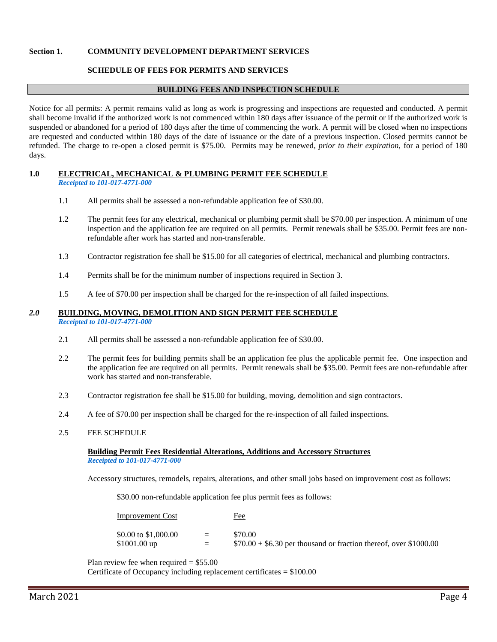### **Section 1. COMMUNITY DEVELOPMENT DEPARTMENT SERVICES**

### **SCHEDULE OF FEES FOR PERMITS AND SERVICES**

#### **BUILDING FEES AND INSPECTION SCHEDULE**

Notice for all permits: A permit remains valid as long as work is progressing and inspections are requested and conducted. A permit shall become invalid if the authorized work is not commenced within 180 days after issuance of the permit or if the authorized work is suspended or abandoned for a period of 180 days after the time of commencing the work. A permit will be closed when no inspections are requested and conducted within 180 days of the date of issuance or the date of a previous inspection. Closed permits cannot be refunded. The charge to re-open a closed permit is \$75.00. Permits may be renewed, *prior to their expiration*, for a period of 180 days.

## **1.0 ELECTRICAL, MECHANICAL & PLUMBING PERMIT FEE SCHEDULE**

*Receipted to 101-017-4771-000*

- 1.1 All permits shall be assessed a non-refundable application fee of \$30.00.
- 1.2 The permit fees for any electrical, mechanical or plumbing permit shall be \$70.00 per inspection. A minimum of one inspection and the application fee are required on all permits. Permit renewals shall be \$35.00. Permit fees are nonrefundable after work has started and non-transferable.
- 1.3 Contractor registration fee shall be \$15.00 for all categories of electrical, mechanical and plumbing contractors.
- 1.4 Permits shall be for the minimum number of inspections required in Section 3.
- 1.5 A fee of \$70.00 per inspection shall be charged for the re-inspection of all failed inspections.

#### *2.0* **BUILDING, MOVING, DEMOLITION AND SIGN PERMIT FEE SCHEDULE** *Receipted to 101-017-4771-000*

- 2.1 All permits shall be assessed a non-refundable application fee of \$30.00.
- 2.2 The permit fees for building permits shall be an application fee plus the applicable permit fee. One inspection and the application fee are required on all permits. Permit renewals shall be \$35.00. Permit fees are non-refundable after work has started and non-transferable.
- 2.3 Contractor registration fee shall be \$15.00 for building, moving, demolition and sign contractors.
- 2.4 A fee of \$70.00 per inspection shall be charged for the re-inspection of all failed inspections.
- 2.5 FEE SCHEDULE

### **Building Permit Fees Residential Alterations, Additions and Accessory Structures** *Receipted to 101-017-4771-000*

Accessory structures, remodels, repairs, alterations, and other small jobs based on improvement cost as follows:

\$30.00 non-refundable application fee plus permit fees as follows:

| <u>Improvement Cost</u> |     | <u>Fee</u>                                                        |
|-------------------------|-----|-------------------------------------------------------------------|
| \$0.00 to \$1,000.00    | $=$ | \$70.00                                                           |
| $$1001.00$ up           | $=$ | $$70.00 + $6.30$ per thousand or fraction thereof, over \$1000.00 |

Plan review fee when required  $= $55.00$ 

Certificate of Occupancy including replacement certificates = \$100.00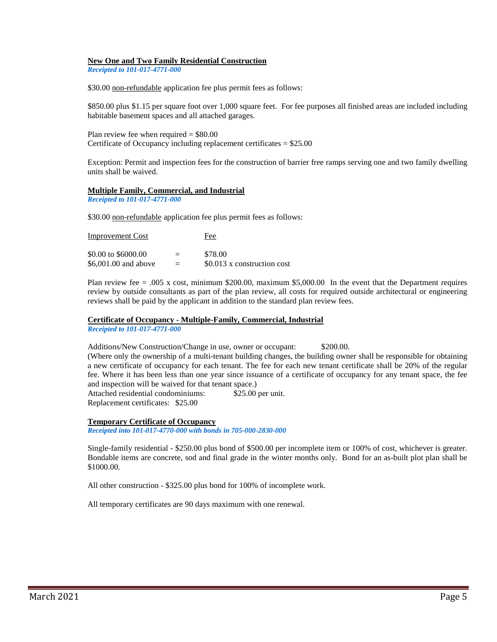### **New One and Two Family Residential Construction**

*Receipted to 101-017-4771-000*

\$30.00 non-refundable application fee plus permit fees as follows:

\$850.00 plus \$1.15 per square foot over 1,000 square feet. For fee purposes all finished areas are included including habitable basement spaces and all attached garages.

Plan review fee when required = \$80.00 Certificate of Occupancy including replacement certificates = \$25.00

Exception: Permit and inspection fees for the construction of barrier free ramps serving one and two family dwelling units shall be waived.

## **Multiple Family, Commercial, and Industrial**

*Receipted to 101-017-4771-000*

\$30.00 non-refundable application fee plus permit fees as follows:

| <b>Improvement Cost</b> |     | Fee                         |  |  |
|-------------------------|-----|-----------------------------|--|--|
| \$0.00 to \$6000.00     | $=$ | \$78.00                     |  |  |
| \$6,001.00 and above    | $=$ | \$0.013 x construction cost |  |  |

Plan review fee = .005 x cost, minimum \$200.00, maximum \$5,000.00 In the event that the Department requires review by outside consultants as part of the plan review, all costs for required outside architectural or engineering reviews shall be paid by the applicant in addition to the standard plan review fees.

**Certificate of Occupancy - Multiple-Family, Commercial, Industrial**

*Receipted to 101-017-4771-000*

Additions/New Construction/Change in use, owner or occupant: \$200.00. (Where only the ownership of a multi-tenant building changes, the building owner shall be responsible for obtaining

a new certificate of occupancy for each tenant. The fee for each new tenant certificate shall be 20% of the regular fee. Where it has been less than one year since issuance of a certificate of occupancy for any tenant space, the fee and inspection will be waived for that tenant space.)

Attached residential condominiums: \$25.00 per unit. Replacement certificates: \$25.00

### **Temporary Certificate of Occupancy**

*Receipted into 101-017-4770-000 with bonds in 705-000-2830-000*

Single-family residential - \$250.00 plus bond of \$500.00 per incomplete item or 100% of cost, whichever is greater. Bondable items are concrete, sod and final grade in the winter months only. Bond for an as-built plot plan shall be \$1000.00.

All other construction - \$325.00 plus bond for 100% of incomplete work.

All temporary certificates are 90 days maximum with one renewal.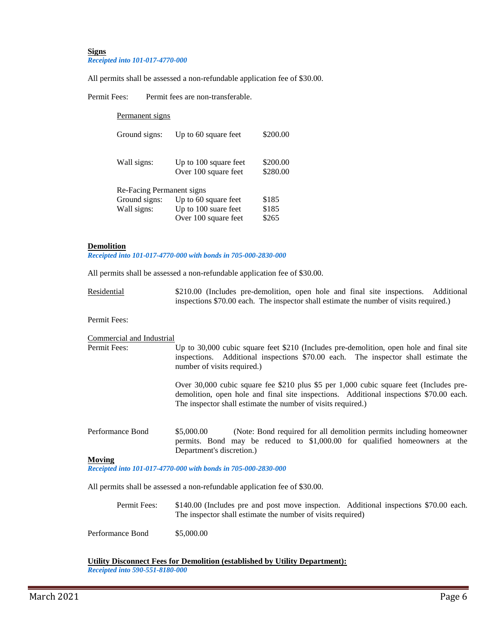#### **Signs** *Receipted into 101-017-4770-000*

All permits shall be assessed a non-refundable application fee of \$30.00.

Permit Fees: Permit fees are non-transferable.

| Permanent signs           |                                               |                      |
|---------------------------|-----------------------------------------------|----------------------|
| Ground signs:             | Up to 60 square feet                          | \$200.00             |
| Wall signs:               | Up to 100 square feet<br>Over 100 square feet | \$200.00<br>\$280.00 |
| Re-Facing Permanent signs |                                               |                      |
| Ground signs:             | Up to 60 square feet                          | \$185                |
| Wall signs:               | Up to 100 suare feet                          | \$185                |
|                           | Over 100 square feet                          | \$265                |

### **Demolition**

*Receipted into 101-017-4770-000 with bonds in 705-000-2830-000*

All permits shall be assessed a non-refundable application fee of \$30.00.

| Residential |  |  |  |  |                                                                                        | \$210.00 (Includes pre-demolition, open hole and final site inspections. Additional |
|-------------|--|--|--|--|----------------------------------------------------------------------------------------|-------------------------------------------------------------------------------------|
|             |  |  |  |  | inspections \$70.00 each. The inspector shall estimate the number of visits required.) |                                                                                     |

Permit Fees:

| Commercial and Industrial<br>Permit Fees: | Up to 30,000 cubic square feet \$210 (Includes pre-demolition, open hole and final site<br>inspections. Additional inspections \$70.00 each. The inspector shall estimate the<br>number of visits required.)                                     |
|-------------------------------------------|--------------------------------------------------------------------------------------------------------------------------------------------------------------------------------------------------------------------------------------------------|
|                                           | Over 30,000 cubic square fee \$210 plus \$5 per 1,000 cubic square feet (Includes pre-<br>demolition, open hole and final site inspections. Additional inspections \$70.00 each.<br>The inspector shall estimate the number of visits required.) |
| Performance Bond                          | \$5,000.00<br>(Note: Bond required for all demolition permits including homeowner)<br>permits. Bond may be reduced to \$1,000.00 for qualified homeowners at the<br>Department's discretion.)                                                    |
| Moving                                    |                                                                                                                                                                                                                                                  |

*Receipted into 101-017-4770-000 with bonds in 705-000-2830-000*

All permits shall be assessed a non-refundable application fee of \$30.00.

| Permit Fees: | \$140.00 (Includes pre and post move inspection. Additional inspections \$70.00 each. |
|--------------|---------------------------------------------------------------------------------------|
|              | The inspector shall estimate the number of visits required)                           |

Performance Bond \$5,000.00

**Utility Disconnect Fees for Demolition (established by Utility Department):**

*Receipted into 590-551-8180-000*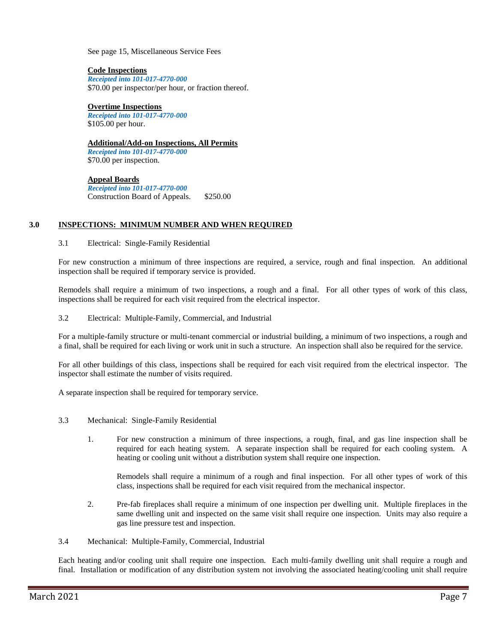See page 15, Miscellaneous Service Fees

**Code Inspections** *Receipted into 101-017-4770-000* \$70.00 per inspector/per hour, or fraction thereof.

**Overtime Inspections** *Receipted into 101-017-4770-000* \$105.00 per hour.

**Additional/Add-on Inspections, All Permits** 

*Receipted into 101-017-4770-000* \$70.00 per inspection.

**Appeal Boards** *Receipted into 101-017-4770-000* Construction Board of Appeals. \$250.00

## **3.0 INSPECTIONS: MINIMUM NUMBER AND WHEN REQUIRED**

3.1 Electrical: Single-Family Residential

For new construction a minimum of three inspections are required, a service, rough and final inspection. An additional inspection shall be required if temporary service is provided.

Remodels shall require a minimum of two inspections, a rough and a final. For all other types of work of this class, inspections shall be required for each visit required from the electrical inspector.

3.2 Electrical: Multiple-Family, Commercial, and Industrial

For a multiple-family structure or multi-tenant commercial or industrial building, a minimum of two inspections, a rough and a final, shall be required for each living or work unit in such a structure. An inspection shall also be required for the service.

For all other buildings of this class, inspections shall be required for each visit required from the electrical inspector. The inspector shall estimate the number of visits required.

A separate inspection shall be required for temporary service.

- 3.3 Mechanical: Single-Family Residential
	- 1. For new construction a minimum of three inspections, a rough, final, and gas line inspection shall be required for each heating system. A separate inspection shall be required for each cooling system. A heating or cooling unit without a distribution system shall require one inspection.

Remodels shall require a minimum of a rough and final inspection. For all other types of work of this class, inspections shall be required for each visit required from the mechanical inspector.

2. Pre-fab fireplaces shall require a minimum of one inspection per dwelling unit. Multiple fireplaces in the same dwelling unit and inspected on the same visit shall require one inspection. Units may also require a gas line pressure test and inspection.

3.4 Mechanical: Multiple-Family, Commercial, Industrial

Each heating and/or cooling unit shall require one inspection. Each multi-family dwelling unit shall require a rough and final. Installation or modification of any distribution system not involving the associated heating/cooling unit shall require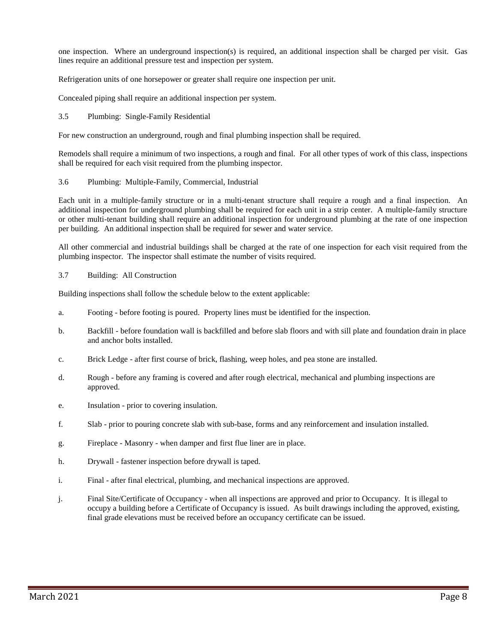one inspection. Where an underground inspection(s) is required, an additional inspection shall be charged per visit. Gas lines require an additional pressure test and inspection per system.

Refrigeration units of one horsepower or greater shall require one inspection per unit.

Concealed piping shall require an additional inspection per system.

3.5 Plumbing: Single-Family Residential

For new construction an underground, rough and final plumbing inspection shall be required.

Remodels shall require a minimum of two inspections, a rough and final. For all other types of work of this class, inspections shall be required for each visit required from the plumbing inspector.

### 3.6 Plumbing: Multiple-Family, Commercial, Industrial

Each unit in a multiple-family structure or in a multi-tenant structure shall require a rough and a final inspection. An additional inspection for underground plumbing shall be required for each unit in a strip center. A multiple-family structure or other multi-tenant building shall require an additional inspection for underground plumbing at the rate of one inspection per building. An additional inspection shall be required for sewer and water service.

All other commercial and industrial buildings shall be charged at the rate of one inspection for each visit required from the plumbing inspector. The inspector shall estimate the number of visits required.

### 3.7 Building: All Construction

Building inspections shall follow the schedule below to the extent applicable:

- a. Footing before footing is poured. Property lines must be identified for the inspection.
- b. Backfill before foundation wall is backfilled and before slab floors and with sill plate and foundation drain in place and anchor bolts installed.
- c. Brick Ledge after first course of brick, flashing, weep holes, and pea stone are installed.
- d. Rough before any framing is covered and after rough electrical, mechanical and plumbing inspections are approved.
- e. Insulation prior to covering insulation.
- f. Slab prior to pouring concrete slab with sub-base, forms and any reinforcement and insulation installed.
- g. Fireplace Masonry when damper and first flue liner are in place.
- h. Drywall fastener inspection before drywall is taped.
- i. Final after final electrical, plumbing, and mechanical inspections are approved.
- j. Final Site/Certificate of Occupancy when all inspections are approved and prior to Occupancy. It is illegal to occupy a building before a Certificate of Occupancy is issued. As built drawings including the approved, existing, final grade elevations must be received before an occupancy certificate can be issued.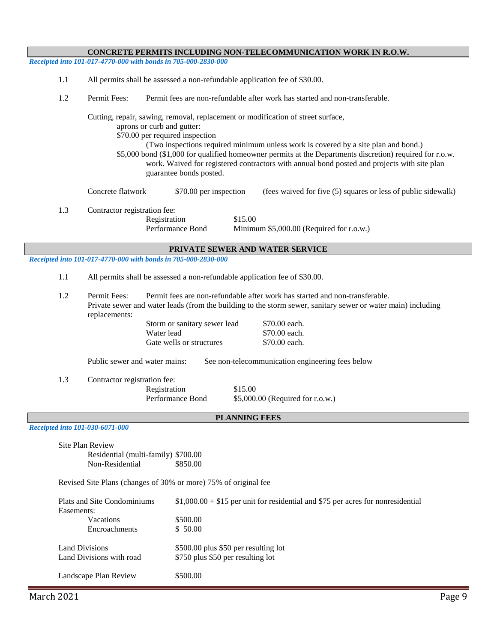| CONCRETE PERMITS INCLUDING NON-TELECOMMUNICATION WORK IN R.O.W.                                                                                                                                                                                                                                                                                                                                                                                                               |
|-------------------------------------------------------------------------------------------------------------------------------------------------------------------------------------------------------------------------------------------------------------------------------------------------------------------------------------------------------------------------------------------------------------------------------------------------------------------------------|
| Receipted into 101-017-4770-000 with bonds in 705-000-2830-000                                                                                                                                                                                                                                                                                                                                                                                                                |
| 1.1<br>All permits shall be assessed a non-refundable application fee of \$30.00.                                                                                                                                                                                                                                                                                                                                                                                             |
| 1.2<br>Permit Fees:<br>Permit fees are non-refundable after work has started and non-transferable.                                                                                                                                                                                                                                                                                                                                                                            |
| Cutting, repair, sawing, removal, replacement or modification of street surface,<br>aprons or curb and gutter:<br>\$70.00 per required inspection<br>(Two inspections required minimum unless work is covered by a site plan and bond.)<br>\$5,000 bond (\$1,000 for qualified homeowner permits at the Departments discretion) required for r.o.w.<br>work. Waived for registered contractors with annual bond posted and projects with site plan<br>guarantee bonds posted. |
| Concrete flatwork<br>\$70.00 per inspection<br>(fees waived for five (5) squares or less of public sidewalk)                                                                                                                                                                                                                                                                                                                                                                  |
| 1.3<br>Contractor registration fee:<br>Registration<br>\$15.00<br>Performance Bond<br>Minimum \$5,000.00 (Required for r.o.w.)                                                                                                                                                                                                                                                                                                                                                |
| PRIVATE SEWER AND WATER SERVICE                                                                                                                                                                                                                                                                                                                                                                                                                                               |
| Receipted into 101-017-4770-000 with bonds in 705-000-2830-000                                                                                                                                                                                                                                                                                                                                                                                                                |
| 1.1<br>All permits shall be assessed a non-refundable application fee of \$30.00.                                                                                                                                                                                                                                                                                                                                                                                             |
| Permit Fees:<br>1.2<br>Permit fees are non-refundable after work has started and non-transferable.<br>Private sewer and water leads (from the building to the storm sewer, sanitary sewer or water main) including<br>replacements:<br>Storm or sanitary sewer lead<br>\$70.00 each.<br>Water lead<br>\$70.00 each.<br>Gate wells or structures<br>\$70.00 each.<br>Public sewer and water mains:<br>See non-telecommunication engineering fees below                         |
|                                                                                                                                                                                                                                                                                                                                                                                                                                                                               |
| 1.3<br>Contractor registration fee:<br>\$15.00<br>Registration<br>Performance Bond<br>\$5,000.00 (Required for r.o.w.)                                                                                                                                                                                                                                                                                                                                                        |
| <b>PLANNING FEES</b>                                                                                                                                                                                                                                                                                                                                                                                                                                                          |
| Receipted into 101-030-6071-000<br>Site Plan Review<br>Residential (multi-family) \$700.00<br>Non-Residential<br>\$850.00                                                                                                                                                                                                                                                                                                                                                     |
| Revised Site Plans (changes of 30% or more) 75% of original fee                                                                                                                                                                                                                                                                                                                                                                                                               |
| Plats and Site Condominiums<br>$$1,000.00 + $15$ per unit for residential and \$75 per acres for nonresidential<br>Easements:                                                                                                                                                                                                                                                                                                                                                 |
| Vacations<br>\$500.00<br>Encroachments<br>\$50.00                                                                                                                                                                                                                                                                                                                                                                                                                             |
| <b>Land Divisions</b><br>\$500.00 plus \$50 per resulting lot<br>Land Divisions with road<br>\$750 plus \$50 per resulting lot                                                                                                                                                                                                                                                                                                                                                |
| Landscape Plan Review<br>\$500.00                                                                                                                                                                                                                                                                                                                                                                                                                                             |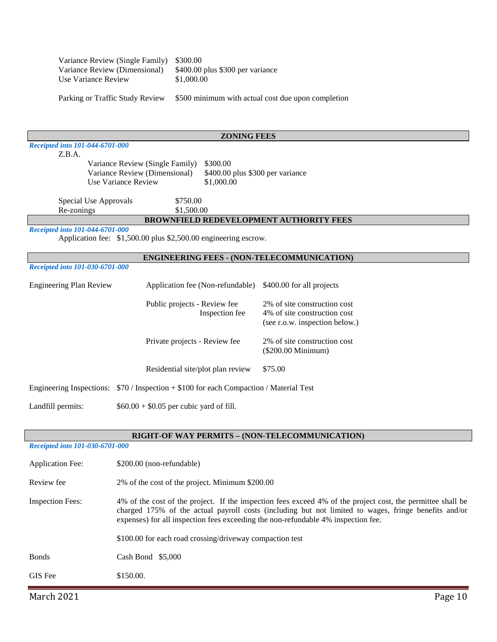| Variance Review (Single Family) \$300.00 |                                  |
|------------------------------------------|----------------------------------|
| Variance Review (Dimensional)            | \$400.00 plus \$300 per variance |
| Use Variance Review                      | \$1,000.00                       |
|                                          |                                  |

Parking or Traffic Study Review \$500 minimum with actual cost due upon completion

|                                           |                                                                 | <b>ZONING FEES</b>               |                                                   |
|-------------------------------------------|-----------------------------------------------------------------|----------------------------------|---------------------------------------------------|
| Receipted into 101-044-6701-000<br>Z.B.A. |                                                                 |                                  |                                                   |
|                                           | Variance Review (Single Family)                                 | \$300.00                         |                                                   |
|                                           | Variance Review (Dimensional)                                   | \$400.00 plus \$300 per variance |                                                   |
|                                           | Use Variance Review                                             | \$1,000.00                       |                                                   |
|                                           |                                                                 |                                  |                                                   |
| Special Use Approvals                     | \$750.00                                                        |                                  |                                                   |
| Re-zonings                                | \$1,500.00                                                      |                                  |                                                   |
|                                           |                                                                 |                                  | <b>BROWNFIELD REDEVELOPMENT AUTHORITY FEES</b>    |
| Receipted into 101-044-6701-000           |                                                                 |                                  |                                                   |
|                                           | Application fee: \$1,500.00 plus \$2,500.00 engineering escrow. |                                  |                                                   |
|                                           |                                                                 |                                  |                                                   |
|                                           |                                                                 |                                  | <b>ENGINEERING FEES - (NON-TELECOMMUNICATION)</b> |
| Receipted into 101-030-6701-000           |                                                                 |                                  |                                                   |
| Engineering Plan Review                   |                                                                 | Application fee (Non-refundable) | \$400.00 for all projects                         |
|                                           | Public projects - Review fee                                    |                                  | 2% of site construction cost                      |
|                                           |                                                                 | Inspection fee                   | 4% of site construction cost                      |
|                                           |                                                                 |                                  | (see r.o.w. inspection below.)                    |
|                                           |                                                                 |                                  |                                                   |
|                                           | Private projects - Review fee                                   |                                  | 2% of site construction cost                      |
|                                           |                                                                 |                                  | (\$200.00 Minimum)                                |
|                                           | Residential site/plot plan review                               |                                  | \$75.00                                           |
| Engineering Inspections:                  | $$70/Inspection + $100$ for each Compaction / Material Test     |                                  |                                                   |
| Landfill permits:                         | $$60.00 + $0.05$ per cubic yard of fill.                        |                                  |                                                   |
|                                           |                                                                 |                                  |                                                   |
|                                           |                                                                 |                                  |                                                   |

# **RIGHT-OF WAY PERMITS – (NON-TELECOMMUNICATION)**

### *Receipted into 101-030-6701-000*

| <b>Application Fee:</b> | \$200.00 (non-refundable)                                                                                                                                                                                                                                                                                                                                            |
|-------------------------|----------------------------------------------------------------------------------------------------------------------------------------------------------------------------------------------------------------------------------------------------------------------------------------------------------------------------------------------------------------------|
| Review fee              | 2% of the cost of the project. Minimum \$200.00                                                                                                                                                                                                                                                                                                                      |
| <b>Inspection Fees:</b> | 4% of the cost of the project. If the inspection fees exceed 4% of the project cost, the permittee shall be<br>charged 175% of the actual payroll costs (including but not limited to wages, fringe benefits and/or<br>expenses) for all inspection fees exceeding the non-refundable 4% inspection fee.<br>\$100.00 for each road crossing/driveway compaction test |
| <b>Bonds</b>            | Cash Bond $$5,000$                                                                                                                                                                                                                                                                                                                                                   |
| <b>GIS</b> Fee          | \$150.00.                                                                                                                                                                                                                                                                                                                                                            |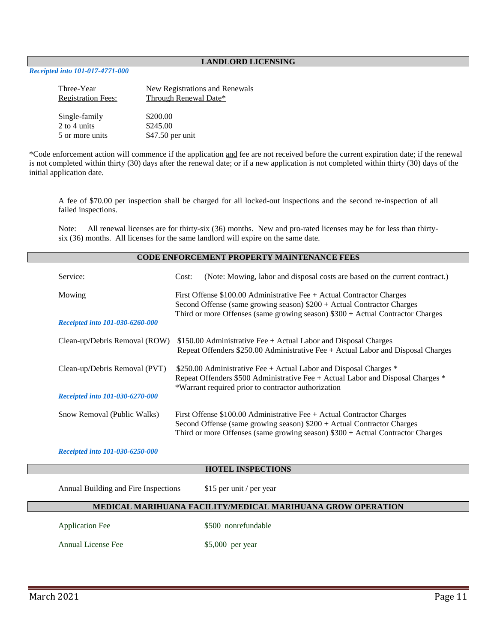### **LANDLORD LICENSING**

### *Receipted into 101-017-4771-000*

| Three-Year<br><b>Registration Fees:</b> | New Registrations and Renewals<br><b>Through Renewal Date*</b> |
|-----------------------------------------|----------------------------------------------------------------|
| Single-family                           | \$200.00                                                       |
| 2 to 4 units                            | \$245.00                                                       |
| 5 or more units                         | \$47.50 per unit                                               |

\*Code enforcement action will commence if the application and fee are not received before the current expiration date; if the renewal is not completed within thirty (30) days after the renewal date; or if a new application is not completed within thirty (30) days of the initial application date.

A fee of \$70.00 per inspection shall be charged for all locked-out inspections and the second re-inspection of all failed inspections.

Note: All renewal licenses are for thirty-six (36) months. New and pro-rated licenses may be for less than thirtysix (36) months. All licenses for the same landlord will expire on the same date.

|                                      | <b>CODE ENFORCEMENT PROPERTY MAINTENANCE FEES</b>                                                                                                                                                                    |  |  |
|--------------------------------------|----------------------------------------------------------------------------------------------------------------------------------------------------------------------------------------------------------------------|--|--|
| Service:                             | (Note: Mowing, labor and disposal costs are based on the current contract.)<br>Cost:                                                                                                                                 |  |  |
| Mowing                               | First Offense $$100.00$ Administrative Fee + Actual Contractor Charges<br>Second Offense (same growing season) $$200 + Actual Contractor$                                                                            |  |  |
| Receipted into 101-030-6260-000      | Third or more Offenses (same growing season) $$300 + Actual Contractor$                                                                                                                                              |  |  |
| Clean-up/Debris Removal (ROW)        | \$150.00 Administrative Fee + Actual Labor and Disposal Charges<br>Repeat Offenders \$250.00 Administrative Fee + Actual Labor and Disposal Charges                                                                  |  |  |
| Clean-up/Debris Removal (PVT)        | \$250.00 Administrative Fee $+$ Actual Labor and Disposal Charges $*$<br>Repeat Offenders \$500 Administrative Fee + Actual Labor and Disposal Charges *<br>*Warrant required prior to contractor authorization      |  |  |
| Receipted into 101-030-6270-000      |                                                                                                                                                                                                                      |  |  |
| Snow Removal (Public Walks)          | First Offense $$100.00$ Administrative Fee + Actual Contractor Charges<br>Second Offense (same growing season) $$200 + Actual Contractor$<br>Third or more Offenses (same growing season) $$300 + Actual Contractor$ |  |  |
| Receipted into 101-030-6250-000      |                                                                                                                                                                                                                      |  |  |
|                                      | <b>HOTEL INSPECTIONS</b>                                                                                                                                                                                             |  |  |
| Annual Building and Fire Inspections | \$15 per unit / per year                                                                                                                                                                                             |  |  |
|                                      | MEDICAL MARIHUANA FACILITY/MEDICAL MARIHUANA GROW OPERATION                                                                                                                                                          |  |  |
| <b>Application Fee</b>               | \$500 nonrefundable                                                                                                                                                                                                  |  |  |
| Annual License Fee                   | \$5,000 per year                                                                                                                                                                                                     |  |  |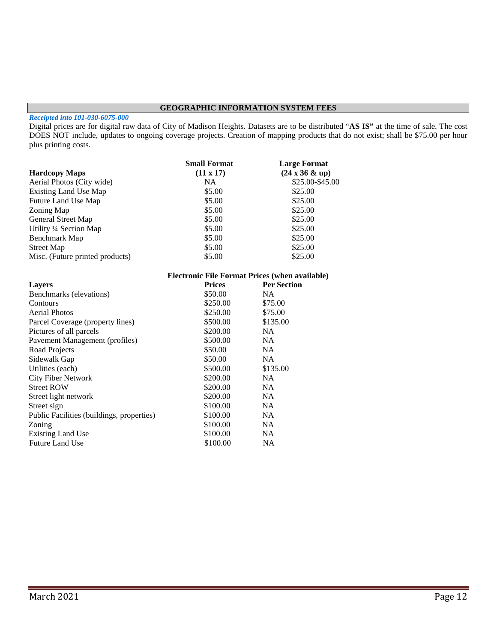### **GEOGRAPHIC INFORMATION SYSTEM FEES**

#### *Receipted into 101-030-6075-000*

Digital prices are for digital raw data of City of Madison Heights. Datasets are to be distributed "**AS IS"** at the time of sale. The cost DOES NOT include, updates to ongoing coverage projects. Creation of mapping products that do not exist; shall be \$75.00 per hour plus printing costs.

|                                           | <b>Small Format</b>                                   | <b>Large Format</b>           |
|-------------------------------------------|-------------------------------------------------------|-------------------------------|
| <b>Hardcopy Maps</b>                      | $(11 \times 17)$                                      | $(24 \times 36 \& \text{up})$ |
| Aerial Photos (City wide)                 | NA                                                    | \$25.00-\$45.00               |
| <b>Existing Land Use Map</b>              | \$5.00                                                | \$25.00                       |
| Future Land Use Map                       | \$5.00                                                | \$25.00                       |
| Zoning Map                                | \$5.00                                                | \$25.00                       |
| <b>General Street Map</b>                 | \$5.00                                                | \$25.00                       |
| Utility 1/4 Section Map                   | \$5.00                                                | \$25.00                       |
| <b>Benchmark Map</b>                      | \$5.00                                                | \$25.00                       |
| <b>Street Map</b>                         | \$5.00                                                | \$25.00                       |
| Misc. (Future printed products)           | \$5.00                                                | \$25.00                       |
|                                           | <b>Electronic File Format Prices (when available)</b> |                               |
| <b>Layers</b>                             | <b>Prices</b>                                         | <b>Per Section</b>            |
| Benchmarks (elevations)                   | \$50.00                                               | <b>NA</b>                     |
| Contours                                  | \$250.00                                              | \$75.00                       |
| <b>Aerial Photos</b>                      | \$250.00                                              | \$75.00                       |
| Parcel Coverage (property lines)          | \$500.00                                              | \$135.00                      |
| Pictures of all parcels                   | \$200.00                                              | <b>NA</b>                     |
| Pavement Management (profiles)            | \$500.00                                              | NA.                           |
| Road Projects                             | \$50.00                                               | NA                            |
| Sidewalk Gap                              | \$50.00                                               | <b>NA</b>                     |
| Utilities (each)                          | \$500.00                                              | \$135.00                      |
| <b>City Fiber Network</b>                 | \$200.00                                              | <b>NA</b>                     |
| <b>Street ROW</b>                         | \$200.00                                              | <b>NA</b>                     |
| Street light network                      | \$200.00                                              | <b>NA</b>                     |
| Street sign                               | \$100.00                                              | <b>NA</b>                     |
| Public Facilities (buildings, properties) | \$100.00                                              | <b>NA</b>                     |
| Zoning                                    | \$100.00                                              | <b>NA</b>                     |
| <b>Existing Land Use</b>                  | \$100.00                                              | <b>NA</b>                     |
| <b>Future Land Use</b>                    | \$100.00                                              | <b>NA</b>                     |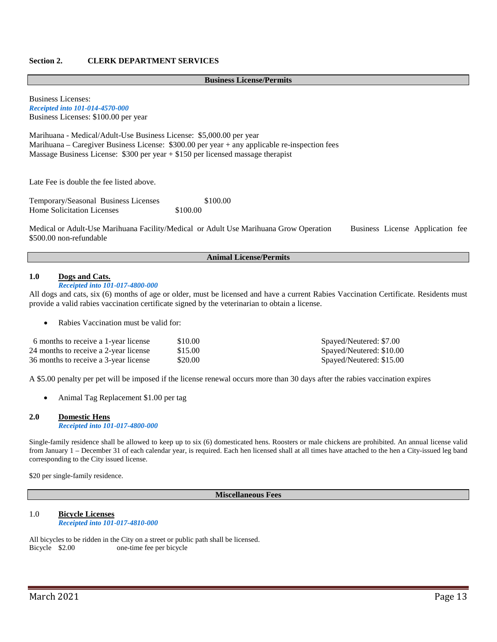### **Section 2. CLERK DEPARTMENT SERVICES**

#### **Business License/Permits**

Business Licenses: *Receipted into 101-014-4570-000* Business Licenses: \$100.00 per year

Marihuana - Medical/Adult-Use Business License: \$5,000.00 per year Marihuana – Caregiver Business License: \$300.00 per year + any applicable re-inspection fees Massage Business License: \$300 per year + \$150 per licensed massage therapist

Late Fee is double the fee listed above.

Temporary/Seasonal Business Licenses \$100.00 Home Solicitation Licenses  $$100.00$ 

Medical or Adult-Use Marihuana Facility/Medical or Adult Use Marihuana Grow Operation Business License Application fee \$500.00 non-refundable

#### **Animal License/Permits**

### **1.0 Dogs and Cats.**

### *Receipted into 101-017-4800-000*

All dogs and cats, six (6) months of age or older, must be licensed and have a current Rabies Vaccination Certificate. Residents must provide a valid rabies vaccination certificate signed by the veterinarian to obtain a license.

Rabies Vaccination must be valid for:

| 6 months to receive a 1-year license  | \$10.00 | Spayed/Neutered: \$7.00  |
|---------------------------------------|---------|--------------------------|
| 24 months to receive a 2-year license | \$15.00 | Spayed/Neutered: \$10.00 |
| 36 months to receive a 3-year license | \$20.00 | Spayed/Neutered: \$15.00 |

A \$5.00 penalty per pet will be imposed if the license renewal occurs more than 30 days after the rabies vaccination expires

• Animal Tag Replacement \$1.00 per tag

#### **2.0 Domestic Hens** *Receipted into 101-017-4800-000*

Single-family residence shall be allowed to keep up to six (6) domesticated hens. Roosters or male chickens are prohibited. An annual license valid from January 1 – December 31 of each calendar year, is required. Each hen licensed shall at all times have attached to the hen a City-issued leg band corresponding to the City issued license.

\$20 per single-family residence.

#### **Miscellaneous Fees**

#### 1.0 **Bicycle Licenses**  *Receipted into 101-017-4810-000*

All bicycles to be ridden in the City on a street or public path shall be licensed.<br>Bicycle \$2.00 one-time fee per bicycle one-time fee per bicycle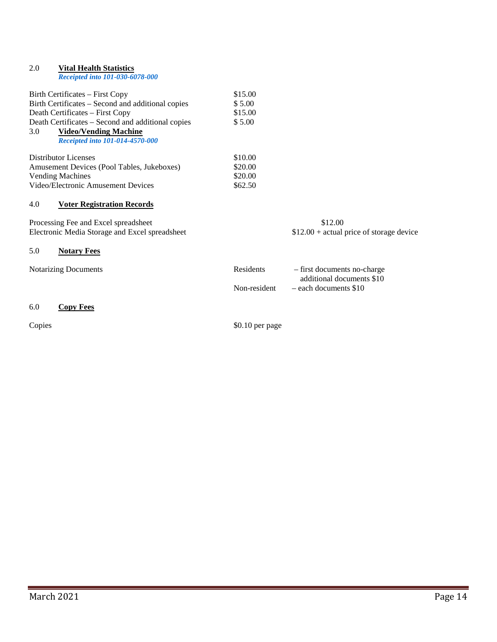# 2.0 **Vital Health Statistics** *Receipted into 101-030-6078-000* Birth Certificates – First Copy \$15.00<br>Birth Certificates – Second and additional copies \$5.00 Birth Certificates – Second and additional copies Death Certificates – First Copy \$15.00 Death Certificates – Second and additional copies \$ 5.00 3.0 **Video/Vending Machine** *Receipted into 101-014-4570-000* Distributor Licenses  $$10.00$ Amusement Devices (Pool Tables, Jukeboxes) \$20.00 Vending Machines  $$20.00$ Video/Electronic Amusement Devices \$62.50 4.0 **Voter Registration Records** Processing Fee and Excel spreadsheet \$12.00<br>Electronic Media Storage and Excel spreadsheet \$12.00 + actual price of storage device Electronic Media Storage and Excel spreadsheet 5.0 **Notary Fees**

Notarizing Documents **Residents** – first documents no-charge

### 6.0 **Copy Fees**

Copies  $\text{\$0.10 per page}$ 

additional documents \$10

Non-resident – each documents \$10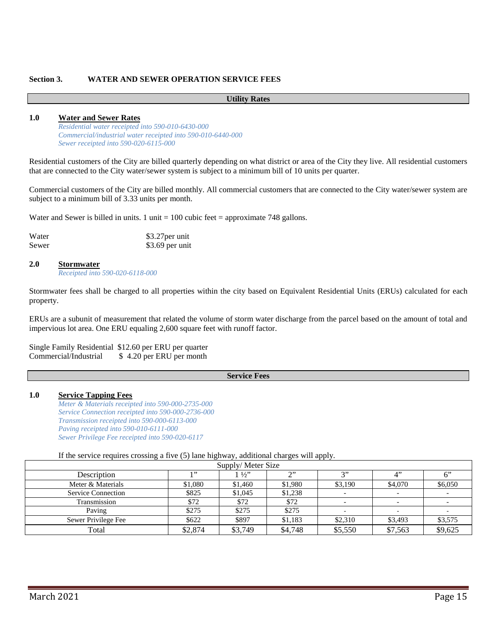### **Section 3. WATER AND SEWER OPERATION SERVICE FEES**

### **Utility Rates**

### **1.0 Water and Sewer Rates**

*Residential water receipted into 590-010-6430-000 Commercial/industrial water receipted into 590-010-6440-000 Sewer receipted into 590-020-6115-000*

Residential customers of the City are billed quarterly depending on what district or area of the City they live. All residential customers that are connected to the City water/sewer system is subject to a minimum bill of 10 units per quarter.

Commercial customers of the City are billed monthly. All commercial customers that are connected to the City water/sewer system are subject to a minimum bill of 3.33 units per month.

Water and Sewer is billed in units. 1 unit  $= 100$  cubic feet  $=$  approximate 748 gallons.

| Water | \$3.27 per unit |
|-------|-----------------|
| Sewer | \$3.69 per unit |

### **2.0 Stormwater**

*Receipted into 590-020-6118-000*

Stormwater fees shall be charged to all properties within the city based on Equivalent Residential Units (ERUs) calculated for each property.

ERUs are a subunit of measurement that related the volume of storm water discharge from the parcel based on the amount of total and impervious lot area. One ERU equaling 2,600 square feet with runoff factor.

Single Family Residential \$12.60 per ERU per quarter Commercial/Industrial \$ 4.20 per ERU per month

#### **Service Fees**

### **1.0 Service Tapping Fees**

*Meter & Materials receipted into 590-000-2735-000 Service Connection receipted into 590-000-2736-000 Transmission receipted into 590-000-6113-000 Paving receipted into 590-010-6111-000 Sewer Privilege Fee receipted into 590-020-6117*

### If the service requires crossing a five (5) lane highway, additional charges will apply.

| Supply/Meter Size         |         |                |           |               |                          |         |
|---------------------------|---------|----------------|-----------|---------------|--------------------------|---------|
| Description               | 1,99    | $1\frac{1}{2}$ | $\bigcap$ | $\rightarrow$ | $\Lambda$ <sup>*</sup>   |         |
| Meter & Materials         | \$1,080 | \$1,460        | \$1,980   | \$3,190       | \$4,070                  | \$6,050 |
| <b>Service Connection</b> | \$825   | \$1,045        | \$1,238   |               |                          |         |
| Transmission              | \$72    | \$72           | \$72      |               | $\overline{\phantom{a}}$ |         |
| Paving                    | \$275   | \$275          | \$275     |               |                          |         |
| Sewer Privilege Fee       | \$622   | \$897          | \$1,183   | \$2,310       | \$3,493                  | \$3,575 |
| Total                     | \$2,874 | \$3,749        | \$4,748   | \$5,550       | \$7,563                  | \$9,625 |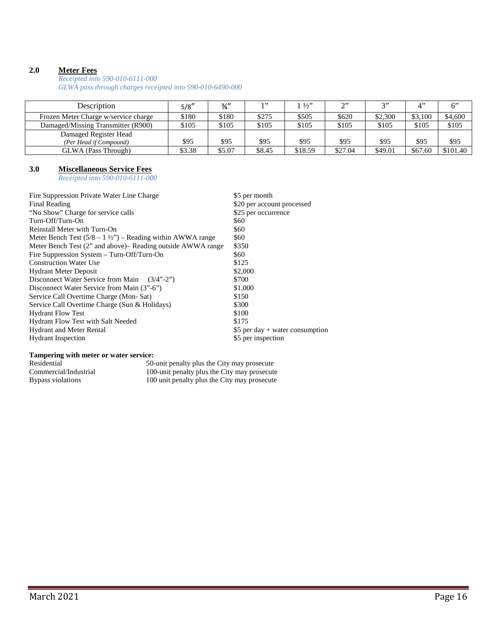### **2.0 Meter Fees**

*Receipted into 590-010-6111-000*

*GLWA pass through charges receipted into 590-010-6490-000*

| Description                                     | 5/8''  | $\frac{3}{4}$ | 1, 22  | 1/2     | $\gamma$ | 2"      | $\mathbf{\Lambda}$ | 6"       |
|-------------------------------------------------|--------|---------------|--------|---------|----------|---------|--------------------|----------|
| Frozen Meter Charge w/service charge            | \$180  | \$180         | \$275  | \$505   | \$620    | \$2,300 | \$3,100            | \$4,600  |
| Damaged/Missing Transmitter (R900)              | \$105  | \$105         | \$105  | \$105   | \$105    | \$105   | \$105              | \$105    |
| Damaged Register Head<br>(Per Head if Compound) | \$95   | \$95          | \$95   | \$95    | \$95     | \$95    | \$95               | \$95     |
| GLWA (Pass Through)                             | \$3.38 | \$5.07        | \$8.45 | \$18.59 | \$27.04  | \$49.01 | \$67.60            | \$101.40 |

### **3.0 Miscellaneous Service Fees**

*Receipted into 590-010-6111-000*

| Fire Suppression Private Water Line Charge                           | \$5 per month                     |
|----------------------------------------------------------------------|-----------------------------------|
| Final Reading                                                        | \$20 per account processed        |
| "No Show" Charge for service calls                                   | \$25 per occurrence               |
| Turn-Off/Turn-On                                                     | \$60                              |
| Reinstall Meter with Turn-On                                         | \$60                              |
| Meter Bench Test $(5/8 - 1 \frac{1}{2})$ – Reading within AWWA range | \$60                              |
| Meter Bench Test (2" and above) – Reading outside AWWA range         | \$350                             |
| Fire Suppression System – Turn-Off/Turn-On                           | \$60                              |
| <b>Construction Water Use</b>                                        | \$125                             |
| <b>Hydrant Meter Deposit</b>                                         | \$2,000                           |
| Disconnect Water Service from Main<br>$(3/4" - 2")$                  | \$700                             |
| Disconnect Water Service from Main (3"-6")                           | \$1,000                           |
| Service Call Overtime Charge (Mon-Sat)                               | \$150                             |
| Service Call Overtime Charge (Sun & Holidays)                        | \$300                             |
| <b>Hydrant Flow Test</b>                                             | \$100                             |
| Hydrant Flow Test with Salt Needed                                   | \$175                             |
| <b>Hydrant and Meter Rental</b>                                      | \$5 per day $+$ water consumption |
| <b>Hydrant</b> Inspection                                            | \$5 per inspection                |
|                                                                      |                                   |

#### **Tampering with meter or water service:**

| Residential           | 50-unit penalty plus the City may prosecute  |
|-----------------------|----------------------------------------------|
| Commercial/Industrial | 100-unit penalty plus the City may prosecute |
| Bypass violations     | 100 unit penalty plus the City may prosecute |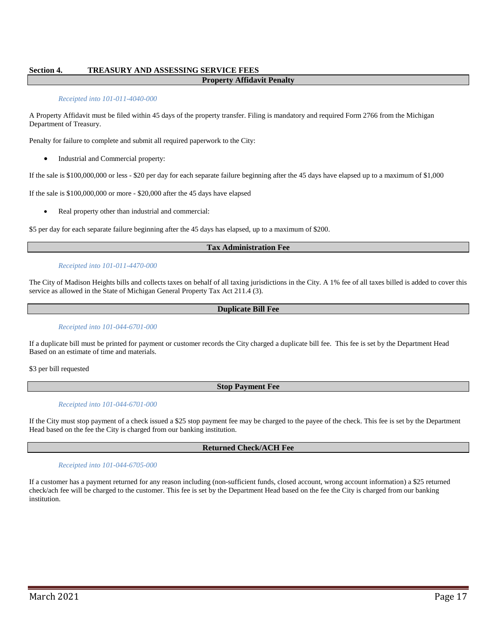### **Section 4. TREASURY AND ASSESSING SERVICE FEES**

### **Property Affidavit Penalty**

#### *Receipted into 101-011-4040-000*

A Property Affidavit must be filed within 45 days of the property transfer. Filing is mandatory and required Form 2766 from the Michigan Department of Treasury.

Penalty for failure to complete and submit all required paperwork to the City:

• Industrial and Commercial property:

If the sale is \$100,000,000 or less - \$20 per day for each separate failure beginning after the 45 days have elapsed up to a maximum of \$1,000

If the sale is \$100,000,000 or more - \$20,000 after the 45 days have elapsed

Real property other than industrial and commercial:

\$5 per day for each separate failure beginning after the 45 days has elapsed, up to a maximum of \$200.

#### **Tax Administration Fee**

#### *Receipted into 101-011-4470-000*

The City of Madison Heights bills and collects taxes on behalf of all taxing jurisdictions in the City. A 1% fee of all taxes billed is added to cover this service as allowed in the State of Michigan General Property Tax Act 211.4 (3).

#### **Duplicate Bill Fee**

#### *Receipted into 101-044-6701-000*

If a duplicate bill must be printed for payment or customer records the City charged a duplicate bill fee. This fee is set by the Department Head Based on an estimate of time and materials.

\$3 per bill requested

#### **Stop Payment Fee**

#### *Receipted into 101-044-6701-000*

If the City must stop payment of a check issued a \$25 stop payment fee may be charged to the payee of the check. This fee is set by the Department Head based on the fee the City is charged from our banking institution.

### **Returned Check/ACH Fee**

#### *Receipted into 101-044-6705-000*

If a customer has a payment returned for any reason including (non-sufficient funds, closed account, wrong account information) a \$25 returned check/ach fee will be charged to the customer. This fee is set by the Department Head based on the fee the City is charged from our banking institution.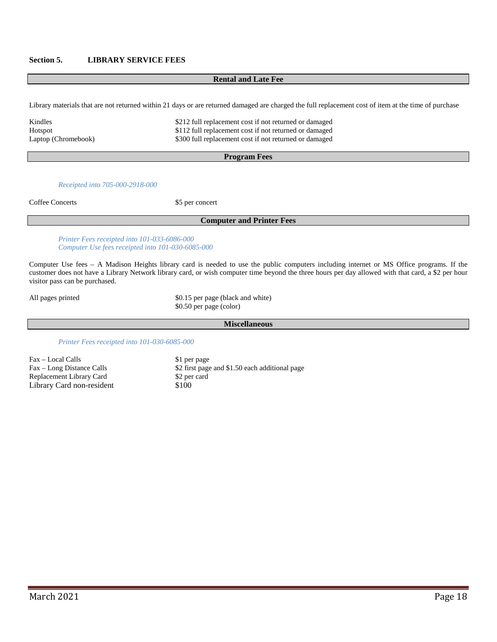### **Section 5. LIBRARY SERVICE FEES**

#### **Rental and Late Fee**

Library materials that are not returned within 21 days or are returned damaged are charged the full replacement cost of item at the time of purchase

| Kindles             | \$212 full replacement cost if not returned or damaged |
|---------------------|--------------------------------------------------------|
| Hotspot             | \$112 full replacement cost if not returned or damaged |
| Laptop (Chromebook) | \$300 full replacement cost if not returned or damaged |

#### **Program Fees**

#### *Receipted into 705-000-2918-000*

Coffee Concerts \$5 per concert

### **Computer and Printer Fees**

*Printer Fees receipted into 101-033-6086-000 Computer Use fees receipted into 101-030-6085-000*

Computer Use fees – A Madison Heights library card is needed to use the public computers including internet or MS Office programs. If the customer does not have a Library Network library card, or wish computer time beyond the three hours per day allowed with that card, a \$2 per hour visitor pass can be purchased.

All pages printed \$0.15 per page (black and white) \$0.50 per page (color)

#### **Miscellaneous**

*Printer Fees receipted into 101-030-6085-000*

Fax – Local Calls \$1 per page<br>Fax – Long Distance Calls \$2 first page Replacement Library Card \$2 per card Library Card non-resident \$100

\$2 first page and \$1.50 each additional page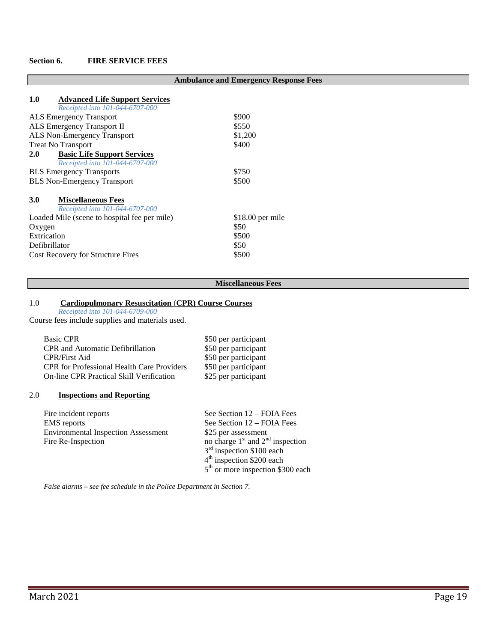### **Section 6. FIRE SERVICE FEES**

|                                                                                 | <b>Ambulance and Emergency Response Fees</b> |
|---------------------------------------------------------------------------------|----------------------------------------------|
| 1.0<br><b>Advanced Life Support Services</b><br>Receipted into 101-044-6707-000 |                                              |
| <b>ALS Emergency Transport</b>                                                  | \$900                                        |
| ALS Emergency Transport II                                                      | \$550                                        |
| <b>ALS Non-Emergency Transport</b>                                              | \$1,200                                      |
| <b>Treat No Transport</b>                                                       | \$400                                        |
| 2.0<br><b>Basic Life Support Services</b>                                       |                                              |
| Receipted into 101-044-6707-000                                                 |                                              |
| <b>BLS</b> Emergency Transports                                                 | \$750                                        |
| <b>BLS</b> Non-Emergency Transport                                              | \$500                                        |
| <b>3.0</b><br><b>Miscellaneous Fees</b><br>Receipted into 101-044-6707-000      |                                              |
| Loaded Mile (scene to hospital fee per mile)                                    | $$18.00$ per mile                            |
| Oxygen                                                                          | \$50                                         |
| Extrication                                                                     | \$500                                        |
| Defibrillator                                                                   | \$50                                         |
| <b>Cost Recovery for Structure Fires</b>                                        | \$500                                        |

### **Miscellaneous Fees**

#### 1.0 **Cardiopulmonary Resuscitation** (**CPR) Course Courses**

*Receipted into 101-044-6709-000*

Course fees include supplies and materials used.

| <b>Basic CPR</b>                                  | \$50 per participant |
|---------------------------------------------------|----------------------|
| <b>CPR</b> and Automatic Defibrillation           | \$50 per participant |
| <b>CPR/First Aid</b>                              | \$50 per participant |
| <b>CPR</b> for Professional Health Care Providers | \$50 per participant |
| <b>On-line CPR Practical Skill Verification</b>   | \$25 per participant |
|                                                   |                      |

### 2.0 **Inspections and Reporting**

| Fire incident reports                      | See Section $12 - \text{FOIA}$ Fees  |
|--------------------------------------------|--------------------------------------|
| <b>EMS</b> reports                         | See Section $12 - \text{FOIA}$ Fees  |
| <b>Environmental Inspection Assessment</b> | \$25 per assessment                  |
| Fire Re-Inspection                         | no charge $1st$ and $2nd$ inspection |
|                                            |                                      |

*False alarms – see fee schedule in the Police Department in Section 7.*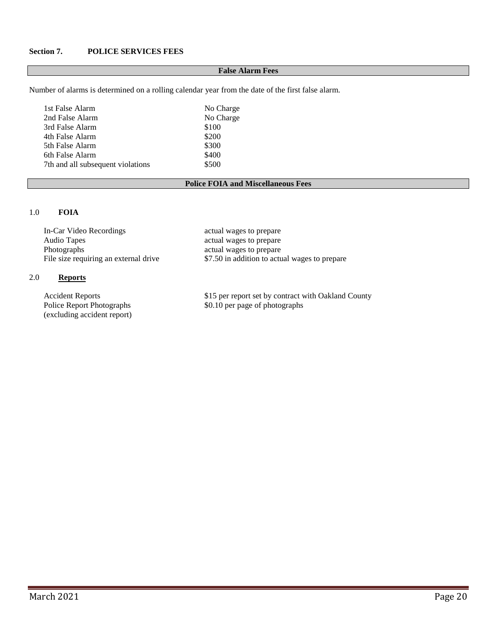### **Section 7. POLICE SERVICES FEES**

#### **False Alarm Fees**

Number of alarms is determined on a rolling calendar year from the date of the first false alarm.

| 1st False Alarm                   | No Charge |
|-----------------------------------|-----------|
| 2nd False Alarm                   | No Charge |
| 3rd False Alarm                   | \$100     |
| 4th False Alarm                   | \$200     |
| 5th False Alarm                   | \$300     |
| 6th False Alarm                   | \$400     |
| 7th and all subsequent violations | \$500     |

### **Police FOIA and Miscellaneous Fees**

### 1.0 **FOIA**

In-Car Video Recordings actual wages to prepare<br>Audio Tapes actual wages to prepare Audio Tapes<br>
Photographs<br>
Photographs<br>  $\alpha$  actual wages to prepare<br>  $\alpha$  actual wages to prepare

## 2.0 **Reports**

(excluding accident report)

actual wages to prepare File size requiring an external drive \$7.50 in addition to actual wages to prepare

Accident Reports \$15 per report set by contract with Oakland County Police Report Photographs \$0.10 per page of photographs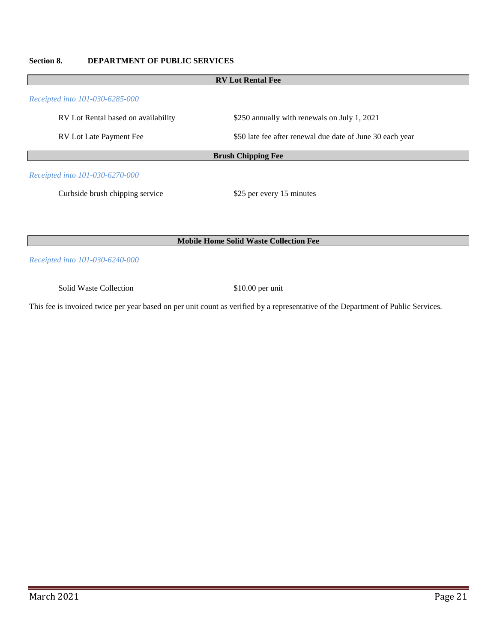## **Section 8. DEPARTMENT OF PUBLIC SERVICES**

| <b>RV</b> Lot Rental Fee                      |                                                           |  |  |
|-----------------------------------------------|-----------------------------------------------------------|--|--|
| Receipted into 101-030-6285-000               |                                                           |  |  |
| RV Lot Rental based on availability           | \$250 annually with renewals on July 1, 2021              |  |  |
| RV Lot Late Payment Fee                       | \$50 late fee after renewal due date of June 30 each year |  |  |
| <b>Brush Chipping Fee</b>                     |                                                           |  |  |
| Receipted into 101-030-6270-000               |                                                           |  |  |
| Curbside brush chipping service               | \$25 per every 15 minutes                                 |  |  |
|                                               |                                                           |  |  |
|                                               |                                                           |  |  |
| <b>Mobile Home Solid Waste Collection Fee</b> |                                                           |  |  |

*Receipted into 101-030-6240-000*

Solid Waste Collection \$10.00 per unit

This fee is invoiced twice per year based on per unit count as verified by a representative of the Department of Public Services.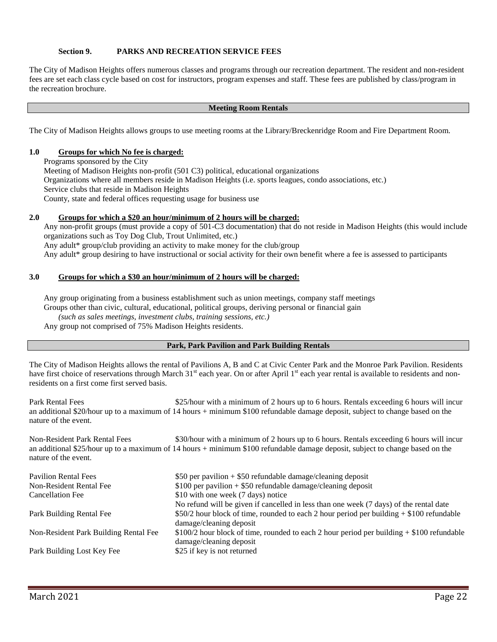### **Section 9. PARKS AND RECREATION SERVICE FEES**

The City of Madison Heights offers numerous classes and programs through our recreation department. The resident and non-resident fees are set each class cycle based on cost for instructors, program expenses and staff. These fees are published by class/program in the recreation brochure.

### **Meeting Room Rentals**

The City of Madison Heights allows groups to use meeting rooms at the Library/Breckenridge Room and Fire Department Room.

### **1.0 Groups for which No fee is charged:**

Programs sponsored by the City Meeting of Madison Heights non-profit (501 C3) political, educational organizations Organizations where all members reside in Madison Heights (i.e. sports leagues, condo associations, etc.) Service clubs that reside in Madison Heights County, state and federal offices requesting usage for business use

### **2.0 Groups for which a \$20 an hour/minimum of 2 hours will be charged:**

Any non-profit groups (must provide a copy of 501-C3 documentation) that do not reside in Madison Heights (this would include organizations such as Toy Dog Club, Trout Unlimited, etc.)

Any adult\* group/club providing an activity to make money for the club/group

Any adult\* group desiring to have instructional or social activity for their own benefit where a fee is assessed to participants

### **3.0 Groups for which a \$30 an hour/minimum of 2 hours will be charged:**

Any group originating from a business establishment such as union meetings, company staff meetings Groups other than civic, cultural, educational, political groups, deriving personal or financial gain *(such as sales meetings, investment clubs, training sessions, etc.)* Any group not comprised of 75% Madison Heights residents.

### **Park, Park Pavilion and Park Building Rentals**

The City of Madison Heights allows the rental of Pavilions A, B and C at Civic Center Park and the Monroe Park Pavilion. Residents have first choice of reservations through March 31<sup>st</sup> each year. On or after April 1<sup>st</sup> each year rental is available to residents and nonresidents on a first come first served basis.

Park Rental Fees \$25/hour with a minimum of 2 hours up to 6 hours. Rentals exceeding 6 hours will incur an additional \$20/hour up to a maximum of 14 hours + minimum \$100 refundable damage deposit, subject to change based on the nature of the event.

Non-Resident Park Rental Fees \$30/hour with a minimum of 2 hours up to 6 hours. Rentals exceeding 6 hours will incur an additional \$25/hour up to a maximum of 14 hours + minimum \$100 refundable damage deposit, subject to change based on the nature of the event.

| <b>Pavilion Rental Fees</b>           | \$50 per pavilion $+$ \$50 refundable damage/cleaning deposit                              |
|---------------------------------------|--------------------------------------------------------------------------------------------|
| Non-Resident Rental Fee               | $$100$ per pavilion + \$50 refundable damage/cleaning deposit                              |
| Cancellation Fee                      | \$10 with one week (7 days) notice                                                         |
|                                       | No refund will be given if cancelled in less than one week (7 days) of the rental date     |
| Park Building Rental Fee              | $$50/2$ hour block of time, rounded to each 2 hour period per building $+ $100$ refundable |
|                                       | damage/cleaning deposit                                                                    |
| Non-Resident Park Building Rental Fee | $$100/2$ hour block of time, rounded to each 2 hour period per building + \$100 refundable |
|                                       | damage/cleaning deposit                                                                    |
| Park Building Lost Key Fee            | \$25 if key is not returned                                                                |
|                                       |                                                                                            |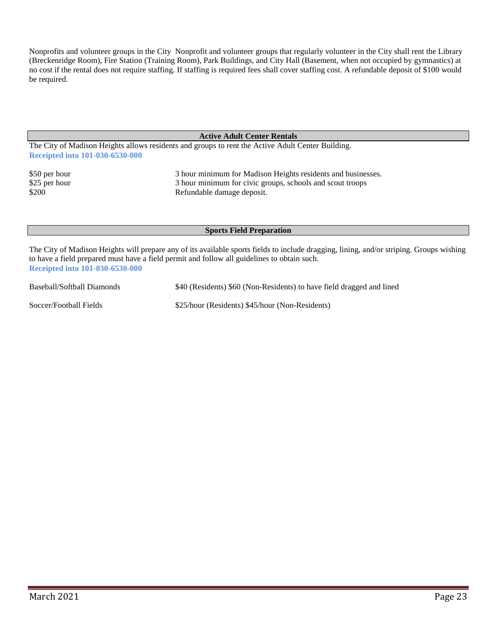Nonprofits and volunteer groups in the City Nonprofit and volunteer groups that regularly volunteer in the City shall rent the Library (Breckenridge Room), Fire Station (Training Room), Park Buildings, and City Hall (Basement, when not occupied by gymnastics) at no cost if the rental does not require staffing. If staffing is required fees shall cover staffing cost. A refundable deposit of \$100 would be required.

### **Active Adult Center Rentals**

The City of Madison Heights allows residents and groups to rent the Active Adult Center Building. **Receipted into 101-030-6530-000**

\$50 per hour 3 hour minimum for Madison Heights residents and businesses.<br>\$25 per hour 3 hour minimum for civic groups, schools and scout troops 3 hour minimum for civic groups, schools and scout troops \$200 Refundable damage deposit.

### **Sports Field Preparation**

The City of Madison Heights will prepare any of its available sports fields to include dragging, lining, and/or striping. Groups wishing to have a field prepared must have a field permit and follow all guidelines to obtain such. **Receipted into 101-030-6530-000**

Baseball/Softball Diamonds \$40 (Residents) \$60 (Non-Residents) to have field dragged and lined

Soccer/Football Fields \$25/hour (Residents) \$45/hour (Non-Residents)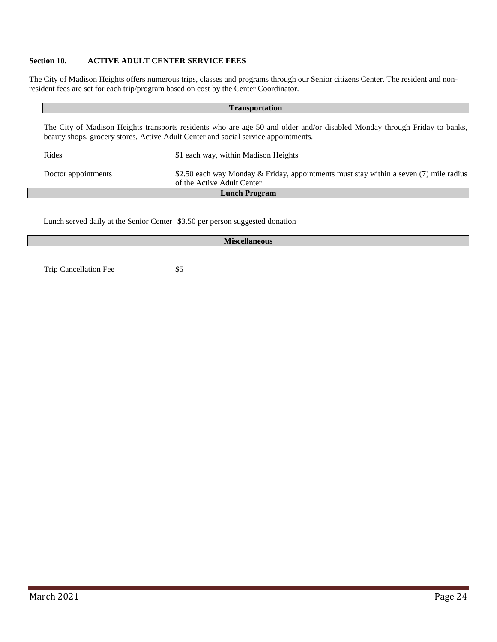### **Section 10. ACTIVE ADULT CENTER SERVICE FEES**

The City of Madison Heights offers numerous trips, classes and programs through our Senior citizens Center. The resident and nonresident fees are set for each trip/program based on cost by the Center Coordinator.

| <b>Transportation</b>                                                                                                                                                                                           |                                                                                                                      |  |  |  |
|-----------------------------------------------------------------------------------------------------------------------------------------------------------------------------------------------------------------|----------------------------------------------------------------------------------------------------------------------|--|--|--|
| The City of Madison Heights transports residents who are age 50 and older and/or disabled Monday through Friday to banks,<br>beauty shops, grocery stores, Active Adult Center and social service appointments. |                                                                                                                      |  |  |  |
| Rides                                                                                                                                                                                                           | \$1 each way, within Madison Heights                                                                                 |  |  |  |
| Doctor appointments                                                                                                                                                                                             | \$2.50 each way Monday & Friday, appointments must stay within a seven (7) mile radius<br>of the Active Adult Center |  |  |  |
| <b>Lunch Program</b>                                                                                                                                                                                            |                                                                                                                      |  |  |  |

Lunch served daily at the Senior Center \$3.50 per person suggested donation

| <b>Miscellaneous</b>  |     |  |  |
|-----------------------|-----|--|--|
|                       |     |  |  |
| Trip Cancellation Fee | \$5 |  |  |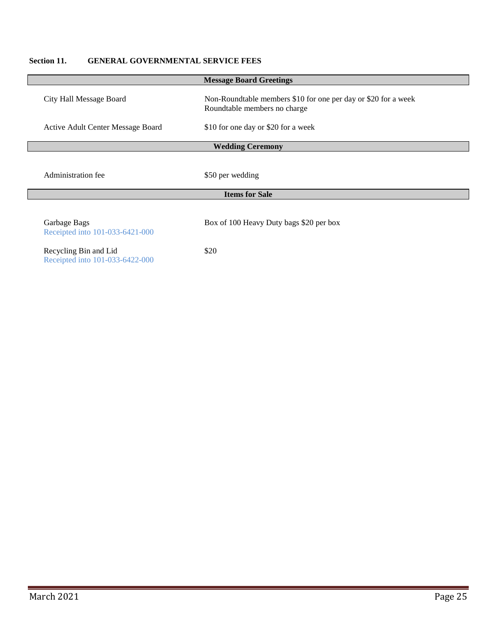## **Section 11. GENERAL GOVERNMENTAL SERVICE FEES**

|                                                          | <b>Message Board Greetings</b>                                                                 |  |
|----------------------------------------------------------|------------------------------------------------------------------------------------------------|--|
| City Hall Message Board                                  | Non-Roundtable members \$10 for one per day or \$20 for a week<br>Roundtable members no charge |  |
| Active Adult Center Message Board                        | \$10 for one day or \$20 for a week                                                            |  |
| <b>Wedding Ceremony</b>                                  |                                                                                                |  |
| <b>Administration fee</b>                                | \$50 per wedding                                                                               |  |
| <b>Items for Sale</b>                                    |                                                                                                |  |
| Garbage Bags<br>Receipted into 101-033-6421-000          | Box of 100 Heavy Duty bags \$20 per box                                                        |  |
| Recycling Bin and Lid<br>Receipted into 101-033-6422-000 | \$20                                                                                           |  |